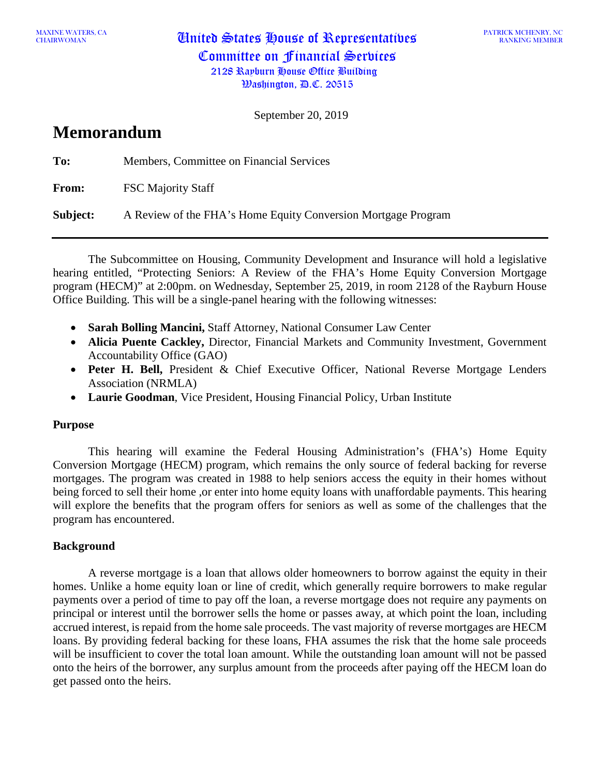CHAIRWOMAN United States House of Representatives Committee on Financial Services 2128 Rayburn House Office Building

September 20, 2019

# **Memorandum**

| To:          | Members, Committee on Financial Services                      |
|--------------|---------------------------------------------------------------|
| <b>From:</b> | <b>FSC Majority Staff</b>                                     |
| Subject:     | A Review of the FHA's Home Equity Conversion Mortgage Program |

The Subcommittee on Housing, Community Development and Insurance will hold a legislative hearing entitled, "Protecting Seniors: A Review of the FHA's Home Equity Conversion Mortgage program (HECM)" at 2:00pm. on Wednesday, September 25, 2019, in room 2128 of the Rayburn House Office Building. This will be a single-panel hearing with the following witnesses:

- **Sarah Bolling Mancini,** Staff Attorney, National Consumer Law Center
- **Alicia Puente Cackley,** Director, Financial Markets and Community Investment, Government Accountability Office (GAO)
- **Peter H. Bell,** President & Chief Executive Officer, National Reverse Mortgage Lenders Association (NRMLA)
- **Laurie Goodman**, Vice President, Housing Financial Policy, Urban Institute

# **Purpose**

This hearing will examine the Federal Housing Administration's (FHA's) Home Equity Conversion Mortgage (HECM) program, which remains the only source of federal backing for reverse mortgages. The program was created in 1988 to help seniors access the equity in their homes without being forced to sell their home ,or enter into home equity loans with unaffordable payments. This hearing will explore the benefits that the program offers for seniors as well as some of the challenges that the program has encountered.

# **Background**

A reverse mortgage is a loan that allows older homeowners to borrow against the equity in their homes. Unlike a home equity loan or line of credit, which generally require borrowers to make regular payments over a period of time to pay off the loan, a reverse mortgage does not require any payments on principal or interest until the borrower sells the home or passes away, at which point the loan, including accrued interest, is repaid from the home sale proceeds. The vast majority of reverse mortgages are HECM loans. By providing federal backing for these loans, FHA assumes the risk that the home sale proceeds will be insufficient to cover the total loan amount. While the outstanding loan amount will not be passed onto the heirs of the borrower, any surplus amount from the proceeds after paying off the HECM loan do get passed onto the heirs.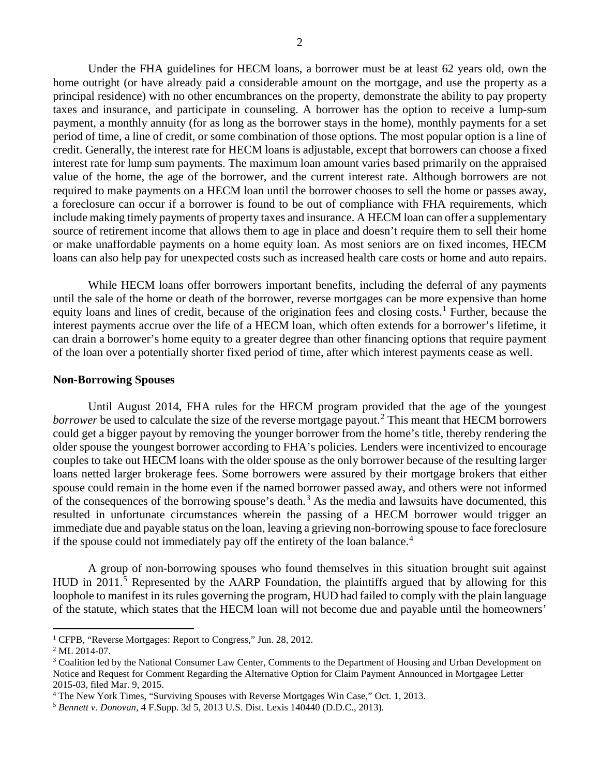Under the FHA guidelines for HECM loans, a borrower must be at least 62 years old, own the home outright (or have already paid a considerable amount on the mortgage, and use the property as a principal residence) with no other encumbrances on the property, demonstrate the ability to pay property taxes and insurance, and participate in counseling. A borrower has the option to receive a lump-sum payment, a monthly annuity (for as long as the borrower stays in the home), monthly payments for a set period of time, a line of credit, or some combination of those options. The most popular option is a line of credit. Generally, the interest rate for HECM loans is adjustable, except that borrowers can choose a fixed interest rate for lump sum payments. The maximum loan amount varies based primarily on the appraised value of the home, the age of the borrower, and the current interest rate. Although borrowers are not required to make payments on a HECM loan until the borrower chooses to sell the home or passes away, a foreclosure can occur if a borrower is found to be out of compliance with FHA requirements, which include making timely payments of property taxes and insurance. A HECM loan can offer a supplementary source of retirement income that allows them to age in place and doesn't require them to sell their home or make unaffordable payments on a home equity loan. As most seniors are on fixed incomes, HECM loans can also help pay for unexpected costs such as increased health care costs or home and auto repairs.

While HECM loans offer borrowers important benefits, including the deferral of any payments until the sale of the home or death of the borrower, reverse mortgages can be more expensive than home equity loans and lines of credit, because of the origination fees and closing costs. [1](#page-1-0) Further, because the interest payments accrue over the life of a HECM loan, which often extends for a borrower's lifetime, it can drain a borrower's home equity to a greater degree than other financing options that require payment of the loan over a potentially shorter fixed period of time, after which interest payments cease as well.

#### **Non-Borrowing Spouses**

Until August 2014, FHA rules for the HECM program provided that the age of the youngest *borrower* be used to calculate the size of the reverse mortgage payout.<sup>[2](#page-1-1)</sup> This meant that HECM borrowers could get a bigger payout by removing the younger borrower from the home's title, thereby rendering the older spouse the youngest borrower according to FHA's policies. Lenders were incentivized to encourage couples to take out HECM loans with the older spouse as the only borrower because of the resulting larger loans netted larger brokerage fees. Some borrowers were assured by their mortgage brokers that either spouse could remain in the home even if the named borrower passed away, and others were not informed of the consequences of the borrowing spouse's death.<sup>[3](#page-1-2)</sup> As the media and lawsuits have documented, this resulted in unfortunate circumstances wherein the passing of a HECM borrower would trigger an immediate due and payable status on the loan, leaving a grieving non-borrowing spouse to face foreclosure if the spouse could not immediately pay off the entirety of the loan balance.<sup>[4](#page-1-3)</sup>

A group of non-borrowing spouses who found themselves in this situation brought suit against HUD in 2011.<sup>[5](#page-1-4)</sup> Represented by the AARP Foundation, the plaintiffs argued that by allowing for this loophole to manifest in its rules governing the program, HUD had failed to comply with the plain language of the statute, which states that the HECM loan will not become due and payable until the homeowners'

 $\overline{\phantom{a}}$ 

<span id="page-1-0"></span><sup>1</sup> CFPB, "Reverse Mortgages: Report to Congress," Jun. 28, 2012.

<span id="page-1-1"></span><sup>&</sup>lt;sup>2</sup> ML 2014-07.

<span id="page-1-2"></span><sup>&</sup>lt;sup>3</sup> Coalition led by the National Consumer Law Center, Comments to the Department of Housing and Urban Development on Notice and Request for Comment Regarding the Alternative Option for Claim Payment Announced in Mortgagee Letter 2015-03, filed Mar. 9, 2015.

<span id="page-1-3"></span><sup>4</sup> The New York Times, "Surviving Spouses with Reverse Mortgages Win Case," Oct. 1, 2013.

<span id="page-1-4"></span><sup>5</sup> *Bennett v. Donovan*, 4 F.Supp. 3d 5, 2013 U.S. Dist. Lexis 140440 (D.D.C., 2013).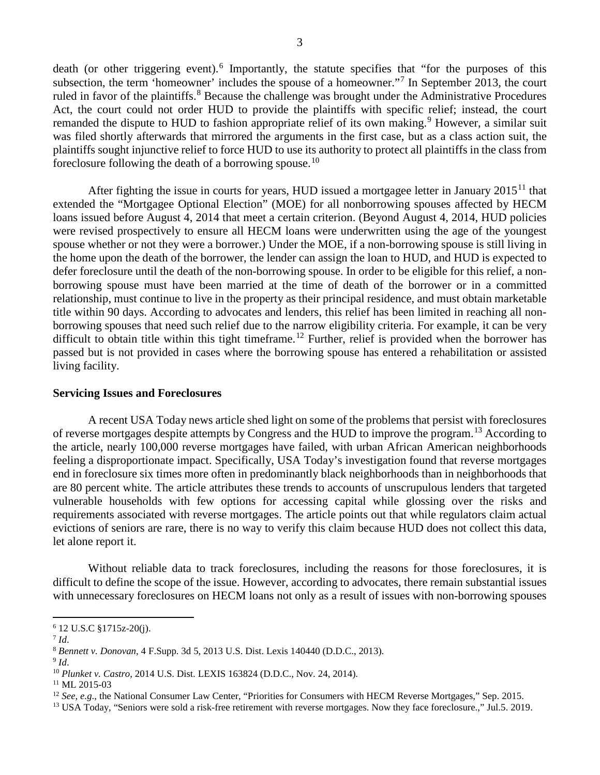death (or other triggering event).<sup>[6](#page-2-0)</sup> Importantly, the statute specifies that "for the purposes of this subsection, the term 'homeowner' includes the spouse of a homeowner."<sup>[7](#page-2-1)</sup> In September 2013, the court ruled in favor of the plaintiffs.<sup>[8](#page-2-2)</sup> Because the challenge was brought under the Administrative Procedures Act, the court could not order HUD to provide the plaintiffs with specific relief; instead, the court remanded the dispute to HUD to fashion appropriate relief of its own making.<sup>[9](#page-2-3)</sup> However, a similar suit was filed shortly afterwards that mirrored the arguments in the first case, but as a class action suit, the plaintiffs sought injunctive relief to force HUD to use its authority to protect all plaintiffs in the class from foreclosure following the death of a borrowing spouse.<sup>[10](#page-2-4)</sup>

After fighting the issue in courts for years, HUD issued a mortgagee letter in January  $2015<sup>11</sup>$  $2015<sup>11</sup>$  $2015<sup>11</sup>$  that extended the "Mortgagee Optional Election" (MOE) for all nonborrowing spouses affected by HECM loans issued before August 4, 2014 that meet a certain criterion. (Beyond August 4, 2014, HUD policies were revised prospectively to ensure all HECM loans were underwritten using the age of the youngest spouse whether or not they were a borrower.) Under the MOE, if a non-borrowing spouse is still living in the home upon the death of the borrower, the lender can assign the loan to HUD, and HUD is expected to defer foreclosure until the death of the non-borrowing spouse. In order to be eligible for this relief, a nonborrowing spouse must have been married at the time of death of the borrower or in a committed relationship, must continue to live in the property as their principal residence, and must obtain marketable title within 90 days. According to advocates and lenders, this relief has been limited in reaching all nonborrowing spouses that need such relief due to the narrow eligibility criteria. For example, it can be very difficult to obtain title within this tight timeframe.<sup>[12](#page-2-6)</sup> Further, relief is provided when the borrower has passed but is not provided in cases where the borrowing spouse has entered a rehabilitation or assisted living facility.

#### **Servicing Issues and Foreclosures**

A recent USA Today news article shed light on some of the problems that persist with foreclosures of reverse mortgages despite attempts by Congress and the HUD to improve the program.[13](#page-2-7) According to the article, nearly 100,000 reverse mortgages have failed, with urban African American neighborhoods feeling a disproportionate impact. Specifically, USA Today's investigation found that reverse mortgages end in foreclosure six times more often in predominantly black neighborhoods than in neighborhoods that are 80 percent white. The article attributes these trends to accounts of unscrupulous lenders that targeted vulnerable households with few options for accessing capital while glossing over the risks and requirements associated with reverse mortgages. The article points out that while regulators claim actual evictions of seniors are rare, there is no way to verify this claim because HUD does not collect this data, let alone report it.

Without reliable data to track foreclosures, including the reasons for those foreclosures, it is difficult to define the scope of the issue. However, according to advocates, there remain substantial issues with unnecessary foreclosures on HECM loans not only as a result of issues with non-borrowing spouses

 $\overline{a}$ 

<span id="page-2-0"></span><sup>6</sup> 12 U.S.C §1715z-20(j).

<span id="page-2-2"></span><span id="page-2-1"></span><sup>7</sup> *Id*. 8 *Bennett v. Donovan*, 4 F.Supp. 3d 5, 2013 U.S. Dist. Lexis 140440 (D.D.C., 2013).

<span id="page-2-4"></span><span id="page-2-3"></span><sup>9</sup> *Id*. 10 *Plunket v. Castro*, 2014 U.S. Dist. LEXIS 163824 (D.D.C., Nov. 24, 2014).

<span id="page-2-6"></span><span id="page-2-5"></span><sup>&</sup>lt;sup>11</sup> ML 2015-03<br><sup>12</sup> See, e.g., the National Consumer Law Center, "Priorities for Consumers with HECM Reverse Mortgages," Sep. 2015.

<span id="page-2-7"></span><sup>&</sup>lt;sup>13</sup> USA Today, "Seniors were sold a risk-free retirement with reverse mortgages. Now they face foreclosure.." Jul.5, 2019.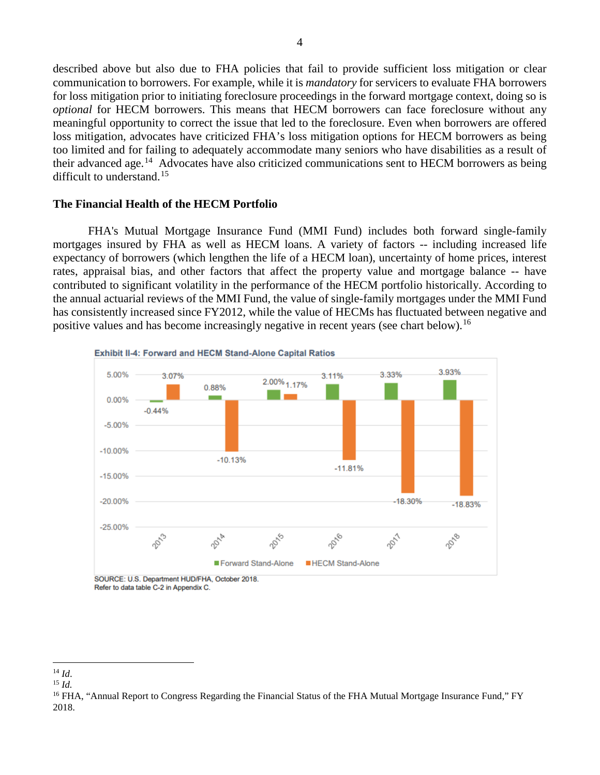described above but also due to FHA policies that fail to provide sufficient loss mitigation or clear communication to borrowers. For example, while it is *mandatory* for servicers to evaluate FHA borrowers for loss mitigation prior to initiating foreclosure proceedings in the forward mortgage context, doing so is *optional* for HECM borrowers. This means that HECM borrowers can face foreclosure without any meaningful opportunity to correct the issue that led to the foreclosure. Even when borrowers are offered loss mitigation, advocates have criticized FHA's loss mitigation options for HECM borrowers as being too limited and for failing to adequately accommodate many seniors who have disabilities as a result of their advanced age.<sup>14</sup> Advocates have also criticized communications sent to HECM borrowers as being difficult to understand.<sup>[15](#page-3-1)</sup>

### **The Financial Health of the HECM Portfolio**

FHA's Mutual Mortgage Insurance Fund (MMI Fund) includes both forward single-family mortgages insured by FHA as well as HECM loans. A variety of factors -- including increased life expectancy of borrowers (which lengthen the life of a HECM loan), uncertainty of home prices, interest rates, appraisal bias, and other factors that affect the property value and mortgage balance -- have contributed to significant volatility in the performance of the HECM portfolio historically. According to the annual actuarial reviews of the MMI Fund, the value of single-family mortgages under the MMI Fund has consistently increased since FY2012, while the value of HECMs has fluctuated between negative and positive values and has become increasingly negative in recent years (see chart below).<sup>[16](#page-3-2)</sup>



Refer to data table C-2 in Appendix C.

 $\overline{\phantom{a}}$ <sup>14</sup> *Id*.

<span id="page-3-1"></span><span id="page-3-0"></span><sup>15</sup> *Id.*

<span id="page-3-2"></span><sup>&</sup>lt;sup>16</sup> FHA, "Annual Report to Congress Regarding the Financial Status of the FHA Mutual Mortgage Insurance Fund," FY 2018.